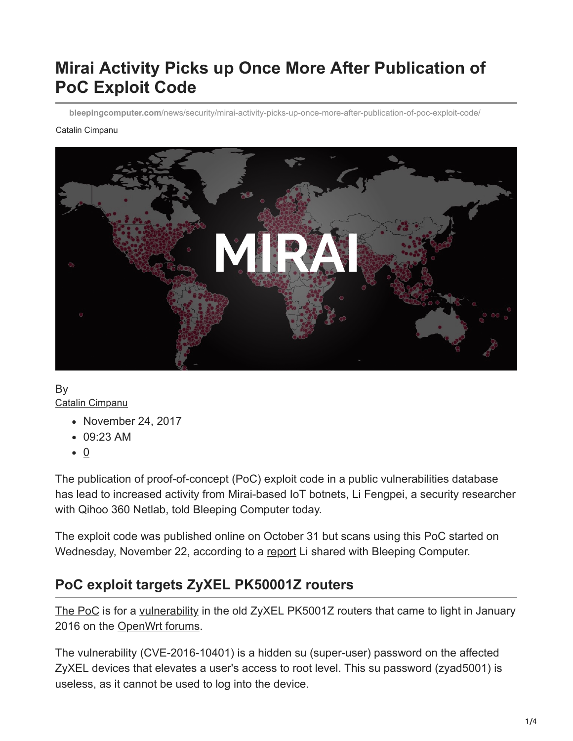# **Mirai Activity Picks up Once More After Publication of PoC Exploit Code**

**bleepingcomputer.com**[/news/security/mirai-activity-picks-up-once-more-after-publication-of-poc-exploit-code/](https://www.bleepingcomputer.com/news/security/mirai-activity-picks-up-once-more-after-publication-of-poc-exploit-code/)

#### Catalin Cimpanu



By [Catalin Cimpanu](https://www.bleepingcomputer.com/author/catalin-cimpanu/)

- November 24, 2017
- 09:23 AM
- $\bullet$  0

The publication of proof-of-concept (PoC) exploit code in a public vulnerabilities database has lead to increased activity from Mirai-based IoT botnets, Li Fengpei, a security researcher with Qihoo 360 Netlab, told Bleeping Computer today.

The exploit code was published online on October 31 but scans using this PoC started on Wednesday, November 22, according to a [report](http://blog.netlab.360.com/early-warning-a-new-mirai-variant-is-spreading-quickly-on-port-23-and-2323-en/) Li shared with Bleeping Computer.

### **PoC exploit targets ZyXEL PK50001Z routers**

[The PoC](https://www.exploit-db.com/exploits/43105/) is for a [vulnerability](http://www.cvedetails.com/cve/CVE-2016-10401/) in the old ZyXEL PK5001Z routers that came to light in January 2016 on the [OpenWrt forums.](https://forum.openwrt.org/viewtopic.php?id=62266)

The vulnerability (CVE-2016-10401) is a hidden su (super-user) password on the affected ZyXEL devices that elevates a user's access to root level. This su password (zyad5001) is useless, as it cannot be used to log into the device.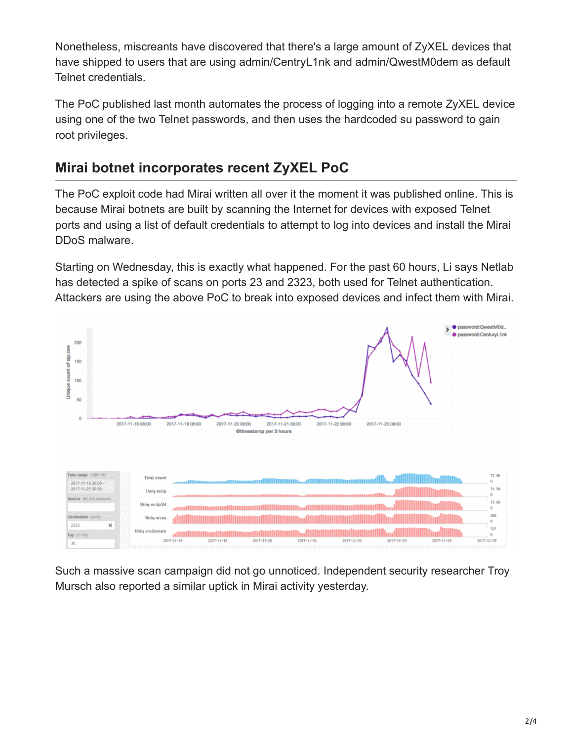Nonetheless, miscreants have discovered that there's a large amount of ZyXEL devices that have shipped to users that are using admin/CentryL1nk and admin/QwestM0dem as default Telnet credentials.

The PoC published last month automates the process of logging into a remote ZyXEL device using one of the two Telnet passwords, and then uses the hardcoded su password to gain root privileges.

## **Mirai botnet incorporates recent ZyXEL PoC**

The PoC exploit code had Mirai written all over it the moment it was published online. This is because Mirai botnets are built by scanning the Internet for devices with exposed Telnet ports and using a list of default credentials to attempt to log into devices and install the Mirai DDoS malware.

Starting on Wednesday, this is exactly what happened. For the past 60 hours, Li says Netlab has detected a spike of scans on ports 23 and 2323, both used for Telnet authentication. Attackers are using the above PoC to break into exposed devices and infect them with Mirai.



Such a massive scan campaign did not go unnoticed. Independent security researcher Troy Mursch also reported a similar uptick in Mirai activity yesterday.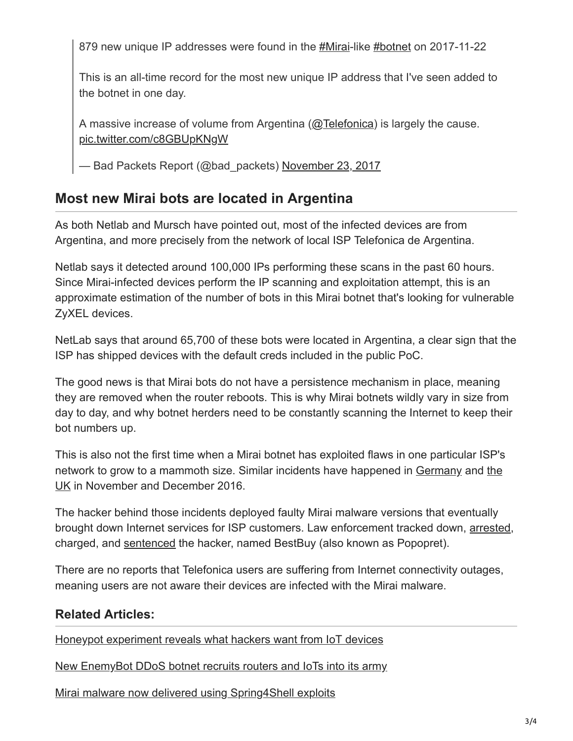879 new unique IP addresses were found in the [#Mirai](https://twitter.com/hashtag/Mirai?src=hash&ref_src=twsrc%5Etfw)-like [#botnet](https://twitter.com/hashtag/botnet?src=hash&ref_src=twsrc%5Etfw) on 2017-11-22

This is an all-time record for the most new unique IP address that I've seen added to the botnet in one day.

A massive increase of volume from Argentina [\(@Telefonica\)](https://twitter.com/Telefonica?ref_src=twsrc%5Etfw) is largely the cause. [pic.twitter.com/c8GBUpKNgW](https://t.co/c8GBUpKNgW)

— Bad Packets Report (@bad\_packets) [November 23, 2017](https://twitter.com/bad_packets/status/933624559483346944?ref_src=twsrc%5Etfw)

### **Most new Mirai bots are located in Argentina**

As both Netlab and Mursch have pointed out, most of the infected devices are from Argentina, and more precisely from the network of local ISP Telefonica de Argentina.

Netlab says it detected around 100,000 IPs performing these scans in the past 60 hours. Since Mirai-infected devices perform the IP scanning and exploitation attempt, this is an approximate estimation of the number of bots in this Mirai botnet that's looking for vulnerable ZyXEL devices.

NetLab says that around 65,700 of these bots were located in Argentina, a clear sign that the ISP has shipped devices with the default creds included in the public PoC.

The good news is that Mirai bots do not have a persistence mechanism in place, meaning they are removed when the router reboots. This is why Mirai botnets wildly vary in size from day to day, and why botnet herders need to be constantly scanning the Internet to keep their bot numbers up.

This is also not the first time when a Mirai botnet has exploited flaws in one particular ISP's [network to grow to a mammoth size. Similar incidents have happened in Germany and the](https://www.bleepingcomputer.com/news/security/uk-police-arrest-suspect-behind-mirai-malware-attacks-on-deutsche-telekom/) UK in November and December 2016.

The hacker behind those incidents deployed faulty Mirai malware versions that eventually brought down Internet services for ISP customers. Law enforcement tracked down, [arrested,](https://www.bleepingcomputer.com/news/security/uk-police-arrest-suspect-behind-mirai-malware-attacks-on-deutsche-telekom/) charged, and [sentenced](https://www.bleepingcomputer.com/news/security/after-dodging-prison-in-germany-mirai-hacker-bestbuy-charged-in-the-uk/) the hacker, named BestBuy (also known as Popopret).

There are no reports that Telefonica users are suffering from Internet connectivity outages, meaning users are not aware their devices are infected with the Mirai malware.

### **Related Articles:**

[Honeypot experiment reveals what hackers want from IoT devices](https://www.bleepingcomputer.com/news/security/honeypot-experiment-reveals-what-hackers-want-from-iot-devices/)

[New EnemyBot DDoS botnet recruits routers and IoTs into its army](https://www.bleepingcomputer.com/news/security/new-enemybot-ddos-botnet-recruits-routers-and-iots-into-its-army/)

[Mirai malware now delivered using Spring4Shell exploits](https://www.bleepingcomputer.com/news/security/mirai-malware-now-delivered-using-spring4shell-exploits/)